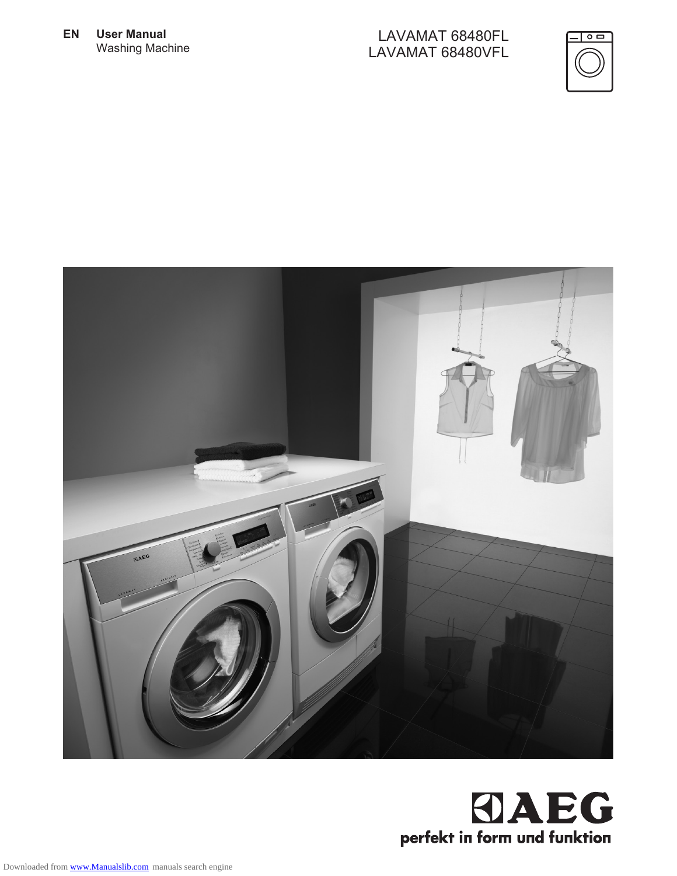**EN User Manual** Washing Machine

#### LAVAMAT 68480FL LAVAMAT 68480VFL





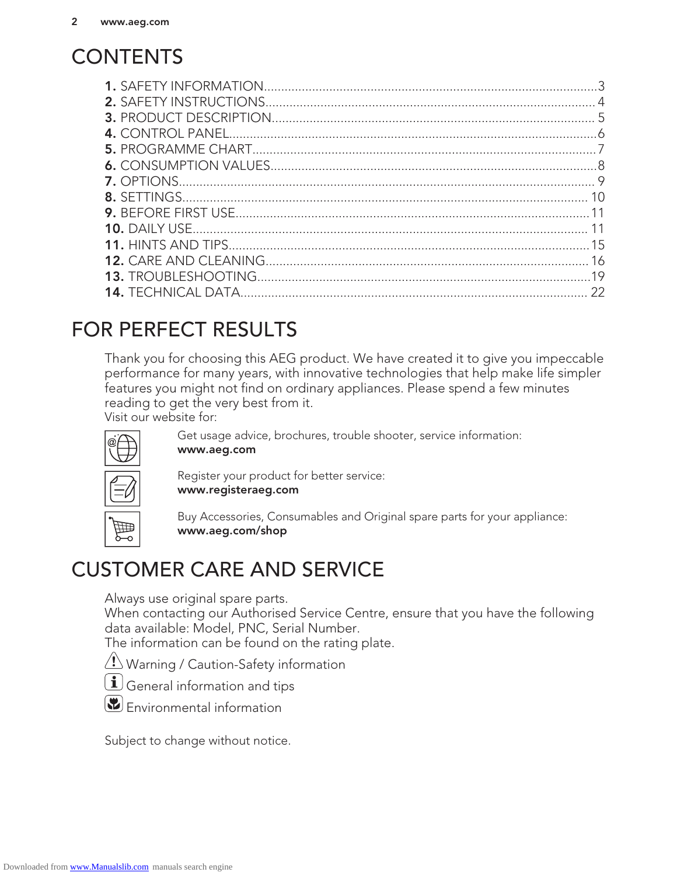## **CONTENTS**

## FOR PERFECT RESULTS

Thank you for choosing this AEG product. We have created it to give you impeccable performance for many years, with innovative technologies that help make life simpler features you might not find on ordinary appliances. Please spend a few minutes reading to get the very best from it.

Visit our website for:



Get usage advice, brochures, trouble shooter, service information: www.aeg.com

Register your product for better service: www.registeraeg.com



Buy Accessories, Consumables and Original spare parts for your appliance: www.aeg.com/shop

## CUSTOMER CARE AND SERVICE

Always use original spare parts.

When contacting our Authorised Service Centre, ensure that you have the following data available: Model, PNC, Serial Number.

The information can be found on the rating plate.

**/ Warning / Caution-Safety information** 

 $\left(\mathbf{i}\right)$  General information and tips



Subject to change without notice.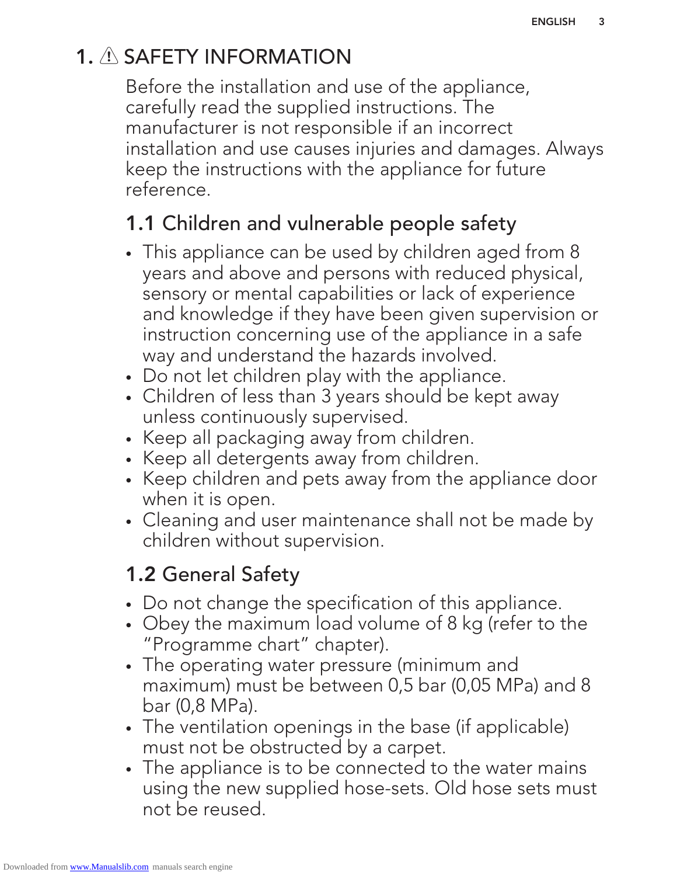## 1. A SAFETY INFORMATION

Before the installation and use of the appliance, carefully read the supplied instructions. The manufacturer is not responsible if an incorrect installation and use causes injuries and damages. Always keep the instructions with the appliance for future reference.

## 1.1 Children and vulnerable people safety

- This appliance can be used by children aged from 8 years and above and persons with reduced physical, sensory or mental capabilities or lack of experience and knowledge if they have been given supervision or instruction concerning use of the appliance in a safe way and understand the hazards involved.
- Do not let children play with the appliance.
- Children of less than 3 years should be kept away unless continuously supervised.
- Keep all packaging away from children.
- Keep all detergents away from children.
- Keep children and pets away from the appliance door when it is open.
- Cleaning and user maintenance shall not be made by children without supervision.

## 1.2 General Safety

- Do not change the specification of this appliance.
- Obey the maximum load volume of 8 kg (refer to the "Programme chart" chapter).
- The operating water pressure (minimum and maximum) must be between 0,5 bar (0,05 MPa) and 8 bar (0,8 MPa).
- The ventilation openings in the base (if applicable) must not be obstructed by a carpet.
- The appliance is to be connected to the water mains using the new supplied hose-sets. Old hose sets must not be reused.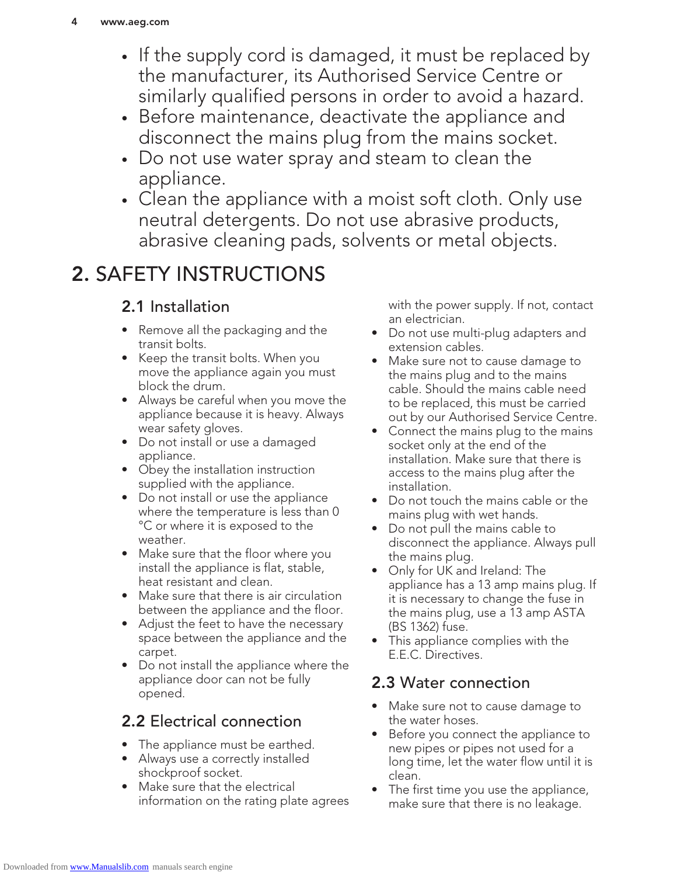- If the supply cord is damaged, it must be replaced by the manufacturer, its Authorised Service Centre or similarly qualified persons in order to avoid a hazard.
- Before maintenance, deactivate the appliance and disconnect the mains plug from the mains socket.
- Do not use water spray and steam to clean the appliance.
- Clean the appliance with a moist soft cloth. Only use neutral detergents. Do not use abrasive products, abrasive cleaning pads, solvents or metal objects.

## 2. SAFETY INSTRUCTIONS

## 2.1 Installation

- Remove all the packaging and the transit bolts.
- Keep the transit bolts. When you move the appliance again you must block the drum.
- Always be careful when you move the appliance because it is heavy. Always wear safety gloves.
- Do not install or use a damaged appliance.
- Obey the installation instruction supplied with the appliance.
- Do not install or use the appliance where the temperature is less than 0 °C or where it is exposed to the weather.
- Make sure that the floor where you install the appliance is flat, stable, heat resistant and clean.
- Make sure that there is air circulation between the appliance and the floor.
- Adjust the feet to have the necessary space between the appliance and the carpet.
- Do not install the appliance where the appliance door can not be fully opened.

## 2.2 Electrical connection

- The appliance must be earthed.
- Always use a correctly installed shockproof socket.
- Make sure that the electrical information on the rating plate agrees

with the power supply. If not, contact an electrician.

- Do not use multi-plug adapters and extension cables.
- Make sure not to cause damage to the mains plug and to the mains cable. Should the mains cable need to be replaced, this must be carried out by our Authorised Service Centre.
- Connect the mains plug to the mains socket only at the end of the installation. Make sure that there is access to the mains plug after the installation.
- Do not touch the mains cable or the mains plug with wet hands.
- Do not pull the mains cable to disconnect the appliance. Always pull the mains plug.
- Only for UK and Ireland: The appliance has a 13 amp mains plug. If it is necessary to change the fuse in the mains plug, use a 13 amp ASTA (BS 1362) fuse.
- This appliance complies with the E.E.C. Directives.

### 2.3 Water connection

- Make sure not to cause damage to the water hoses.
- Before you connect the appliance to new pipes or pipes not used for a long time, let the water flow until it is clean.
- The first time you use the appliance, make sure that there is no leakage.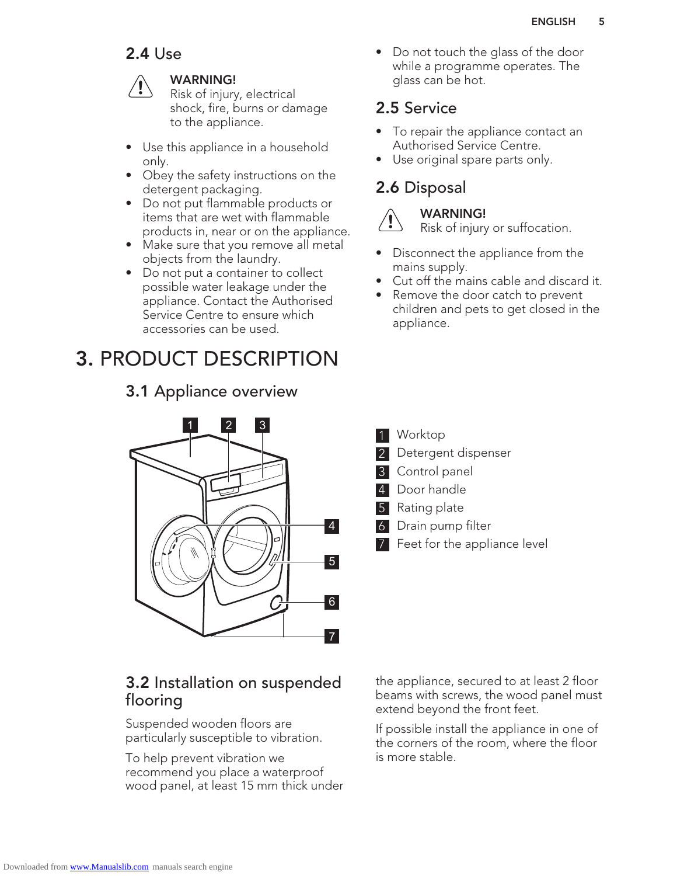## 2.4 Use



#### WARNING!

Risk of injury, electrical shock, fire, burns or damage to the appliance.

- Use this appliance in a household only.
- Obey the safety instructions on the detergent packaging.
- Do not put flammable products or items that are wet with flammable products in, near or on the appliance.
- Make sure that you remove all metal objects from the laundry.
- Do not put a container to collect possible water leakage under the appliance. Contact the Authorised Service Centre to ensure which accessories can be used.

## 3. PRODUCT DESCRIPTION

3.1 Appliance overview

# 1 2 3 5 6 7 4

### 3.2 Installation on suspended flooring

Suspended wooden floors are particularly susceptible to vibration.

To help prevent vibration we recommend you place a waterproof wood panel, at least 15 mm thick under • Do not touch the glass of the door while a programme operates. The glass can be hot.

### 2.5 Service

- To repair the appliance contact an Authorised Service Centre.
- Use original spare parts only.

## 2.6 Disposal



#### WARNING! Risk of injury or suffocation.

- Disconnect the appliance from the mains supply.
- Cut off the mains cable and discard it.
- Remove the door catch to prevent children and pets to get closed in the appliance.

- 1 Worktop
- Detergent dispenser
- 3 Control panel
- 4 Door handle
- Rating plate
- 6 Drain pump filter
- 7 Feet for the appliance level

the appliance, secured to at least 2 floor beams with screws, the wood panel must extend beyond the front feet.

If possible install the appliance in one of the corners of the room, where the floor is more stable.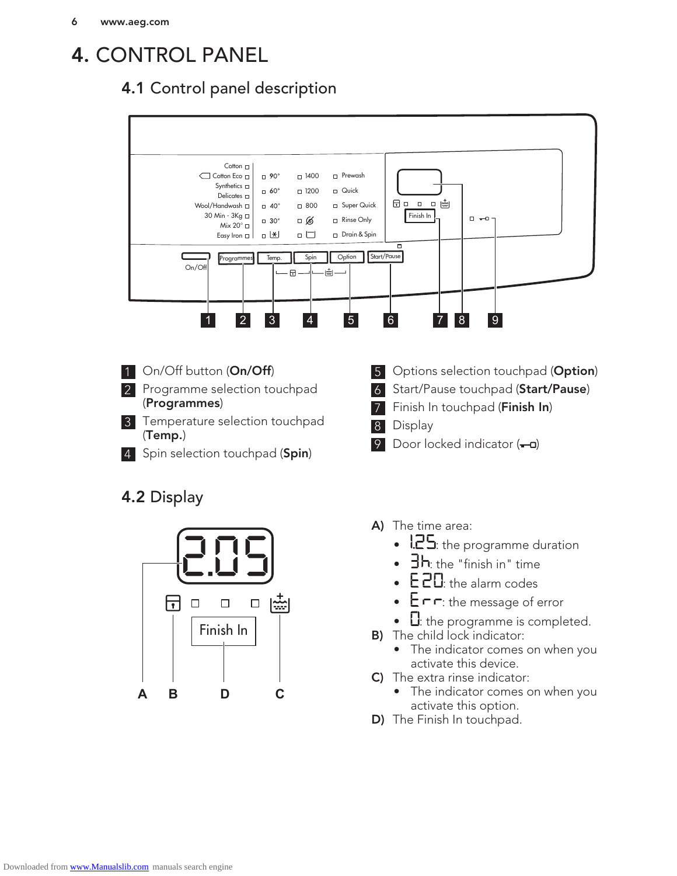## 4. CONTROL PANEL

## 4.1 Control panel description



- 1 On/Off button (On/Off)
- 2 Programme selection touchpad (Programmes)
- 3 Temperature selection touchpad (Temp.)
- 4 Spin selection touchpad (Spin)

## 4.2 Display



- 5 Options selection touchpad (Option)
- 6 Start/Pause touchpad (Start/Pause)
- 7 Finish In touchpad (Finish In)
- 8 Display
- 9 Door locked indicator  $(-a)$
- A) The time area:
	- $!25$ : the programme duration
	- $\exists h$ : the "finish in" time
	- E 20: the alarm codes
	- $E \cap \neg$ : the message of error
	- $\Omega$ : the programme is completed.
- **B)** The child lock indicator:
	- The indicator comes on when you activate this device.
- C) The extra rinse indicator:
	- The indicator comes on when you activate this option.
- D) The Finish In touchpad.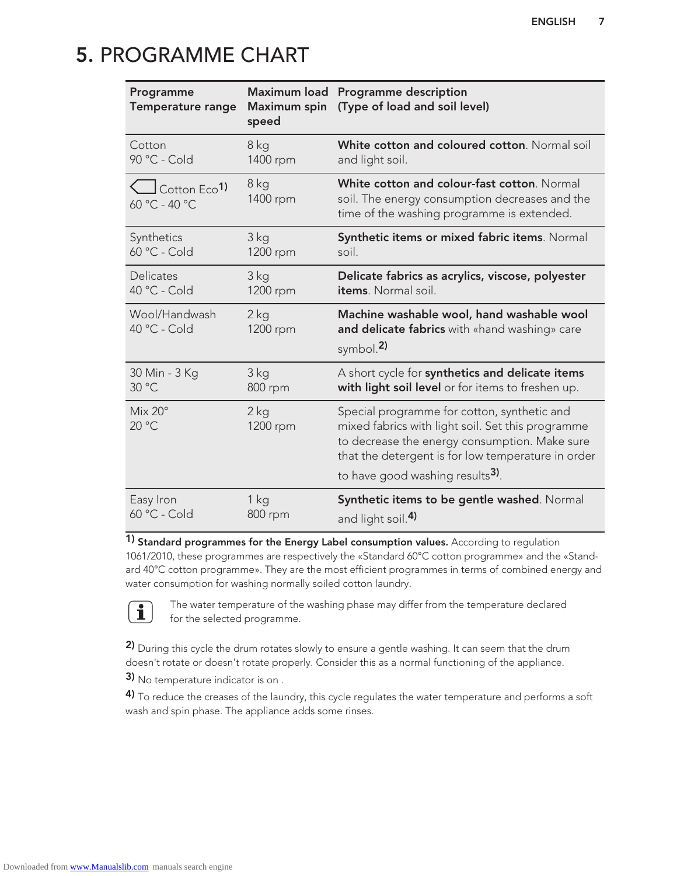## 5. PROGRAMME CHART

| Programme<br>Temperature range                      | Maximum load<br>Maximum spin<br>speed | Programme description<br>(Type of load and soil level)                                                                                                                                                                                                  |
|-----------------------------------------------------|---------------------------------------|---------------------------------------------------------------------------------------------------------------------------------------------------------------------------------------------------------------------------------------------------------|
| Cotton                                              | 8 kg                                  | White cotton and coloured cotton. Normal soil                                                                                                                                                                                                           |
| 90 °C - Cold                                        | 1400 rpm                              | and light soil.                                                                                                                                                                                                                                         |
| $\bigcup$ Cotton Eco <sup>1)</sup><br>60 °C - 40 °C | 8 kg<br>1400 rpm                      | White cotton and colour-fast cotton. Normal<br>soil. The energy consumption decreases and the<br>time of the washing programme is extended.                                                                                                             |
| Synthetics                                          | 3 <sub>kg</sub>                       | Synthetic items or mixed fabric items. Normal                                                                                                                                                                                                           |
| 60 °C - Cold                                        | 1200 rpm                              | soil.                                                                                                                                                                                                                                                   |
| Delicates                                           | 3 kg                                  | Delicate fabrics as acrylics, viscose, polyester                                                                                                                                                                                                        |
| 40 °C - Cold                                        | 1200 rpm                              | items. Normal soil.                                                                                                                                                                                                                                     |
| Wool/Handwash<br>40 °C - Cold                       | $2$ kg<br>1200 rpm                    | Machine washable wool, hand washable wool<br>and delicate fabrics with «hand washing» care<br>symbol. $2$                                                                                                                                               |
| 30 Min - 3 Kg                                       | 3 kg                                  | A short cycle for synthetics and delicate items                                                                                                                                                                                                         |
| 30 °C                                               | 800 rpm                               | with light soil level or for items to freshen up.                                                                                                                                                                                                       |
| $Mix 20^{\circ}$<br>20 °C                           | $2$ kg<br>1200 rpm                    | Special programme for cotton, synthetic and<br>mixed fabrics with light soil. Set this programme<br>to decrease the energy consumption. Make sure<br>that the detergent is for low temperature in order<br>to have good washing results <sup>3)</sup> . |
| Easy Iron                                           | 1 kg                                  | Synthetic items to be gentle washed. Normal                                                                                                                                                                                                             |
| 60 °C - Cold                                        | 800 rpm                               | and light soil. <sup>4)</sup>                                                                                                                                                                                                                           |

1) Standard programmes for the Energy Label consumption values. According to regulation 1061/2010, these programmes are respectively the «Standard 60°C cotton programme» and the «Standard 40°C cotton programme». They are the most efficient programmes in terms of combined energy and water consumption for washing normally soiled cotton laundry.



The water temperature of the washing phase may differ from the temperature declared for the selected programme.

2) During this cycle the drum rotates slowly to ensure a gentle washing. It can seem that the drum doesn't rotate or doesn't rotate properly. Consider this as a normal functioning of the appliance.

3) No temperature indicator is on.

4) To reduce the creases of the laundry, this cycle regulates the water temperature and performs a soft wash and spin phase. The appliance adds some rinses.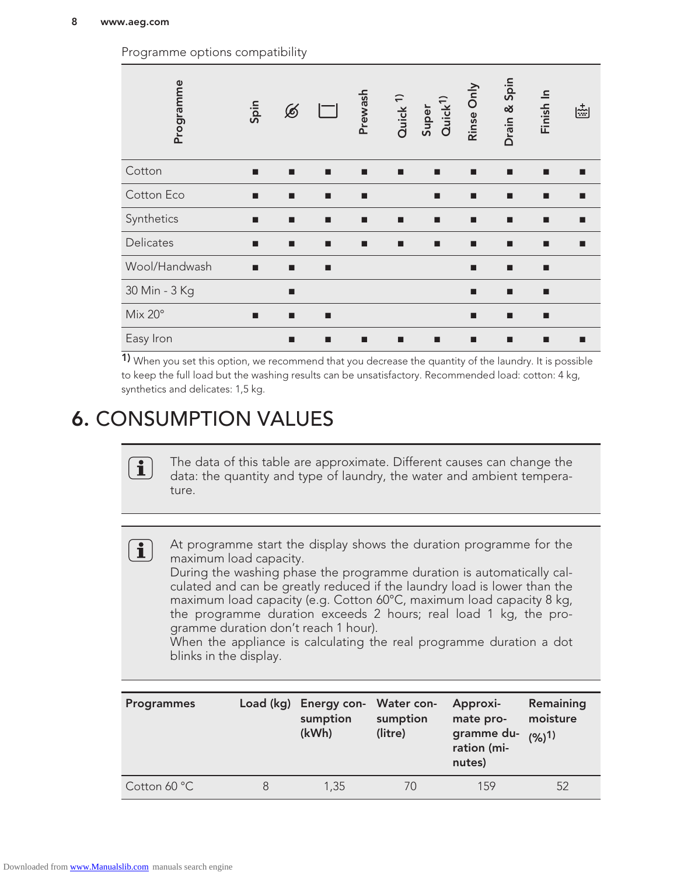Drain & Spin Programme<br>Spin<br>Spin Rinse Only Finish In Prewash Quick 1) Quick<sup>1)</sup> Super  $\circledB$  $\left|\frac{1}{\text{var}}\right|$ Cotton ■ ■ ■ ■ ■ ■ ■ ■ ■ ■ Cotton Eco ■ ■ ■ ■ ■ ■ ■ ■ ■ Synthetics ■ ■ ■ ■ ■ ■ ■ ■ ■ ■ Delicates ■ ■ ■ ■ ■ ■ ■ ■ ■ ■ Wool/Handwash ■ ■ ■ ■ ■ ■ 30 Min - 3 Kg ■ ■ ■ Mix 20° ■ ■ ■ ■ ■ ■ Easy Iron ■ ■ ■ ■ ■ ■ ■ ■ ■

Programme options compatibility

 $1)$  When you set this option, we recommend that you decrease the quantity of the laundry. It is possible to keep the full load but the washing results can be unsatisfactory. Recommended load: cotton: 4 kg, synthetics and delicates: 1,5 kg.

## 6. CONSUMPTION VALUES

The data of this table are approximate. Different causes can change the data: the quantity and type of laundry, the water and ambient temperature.

 $\begin{pmatrix} \mathbf{1} \end{pmatrix}$ 

 $\mathbf{1}$ 

At programme start the display shows the duration programme for the maximum load capacity.

During the washing phase the programme duration is automatically calculated and can be greatly reduced if the laundry load is lower than the maximum load capacity (e.g. Cotton 60°C, maximum load capacity 8 kg, the programme duration exceeds 2 hours; real load 1 kg, the programme duration don't reach 1 hour).

When the appliance is calculating the real programme duration a dot blinks in the display.

| <b>Programmes</b> |   | Load (kg) Energy con- Water con-<br>sumption<br>(kWh) | sumption<br>(litre) | Approxi-<br>mate pro-<br>gramme du-<br>ration (mi-<br>nutes) | Remaining<br>moisture<br>$(96)$ <sup>1)</sup> |
|-------------------|---|-------------------------------------------------------|---------------------|--------------------------------------------------------------|-----------------------------------------------|
| Cotton 60 °C      | 8 | 1,35                                                  | $\sqrt{2}$          | 159                                                          | 52                                            |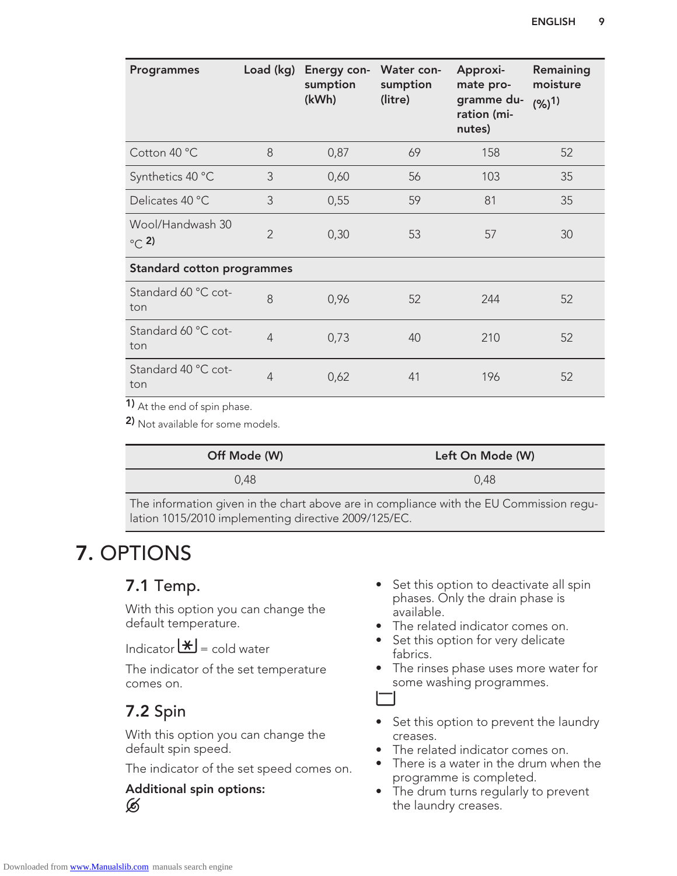| <b>Programmes</b>                 |                | Load (kg) Energy con- Water con-<br>sumption<br>(kWh) | sumption<br>(litre) | Approxi-<br>mate pro-<br>gramme du-<br>ration (mi-<br>nutes) | Remaining<br>moisture<br>$(96)$ <sup>1)</sup> |
|-----------------------------------|----------------|-------------------------------------------------------|---------------------|--------------------------------------------------------------|-----------------------------------------------|
| Cotton 40 °C                      | 8              | 0,87                                                  | 69                  | 158                                                          | 52                                            |
| Synthetics 40 °C                  | 3              | 0,60                                                  | 56                  | 103                                                          | 35                                            |
| Delicates 40 °C                   | 3              | 0,55                                                  | 59                  | 81                                                           | 35                                            |
| Wool/Handwash 30<br>$\circ$ (2)   | $\overline{2}$ | 0,30                                                  | 53                  | 57                                                           | 30                                            |
| <b>Standard cotton programmes</b> |                |                                                       |                     |                                                              |                                               |
| Standard 60 °C cot-<br>ton        | 8              | 0,96                                                  | 52                  | 244                                                          | 52                                            |
| Standard 60 °C cot-<br>ton        | $\overline{4}$ | 0,73                                                  | 40                  | 210                                                          | 52                                            |
| Standard 40 °C cot-<br>ton        | $\overline{4}$ | 0,62                                                  | 41                  | 196                                                          | 52                                            |

1) At the end of spin phase.

2) Not available for some models.

| Off Mode (W)                                                                                                                     | Left On Mode (W)                                                 |  |  |  |
|----------------------------------------------------------------------------------------------------------------------------------|------------------------------------------------------------------|--|--|--|
| 0,48                                                                                                                             | 0,48                                                             |  |  |  |
| $\tau$ $\tau$<br>the contract of the contract of the contract of the contract of the contract of the contract of the contract of | $\mathbf{1}$ $\mathbf{1}$ $\mathbf{1}$ $\mathbf{1}$ $\mathbf{1}$ |  |  |  |

The information given in the chart above are in compliance with the EU Commission regulation 1015/2010 implementing directive 2009/125/EC.

## 7. OPTIONS

### 7.1 Temp.

With this option you can change the default temperature.

Indicator  $\mathbf{H}$  = cold water

The indicator of the set temperature comes on.

### 7.2 Spin

With this option you can change the default spin speed.

The indicator of the set speed comes on.

#### Additional spin options: Ø

- Set this option to deactivate all spin phases. Only the drain phase is available.
- The related indicator comes on.
- Set this option for very delicate fabrics.
- The rinses phase uses more water for some washing programmes.

- Set this option to prevent the laundry creases.
- The related indicator comes on.
- There is a water in the drum when the programme is completed.
- The drum turns regularly to prevent the laundry creases.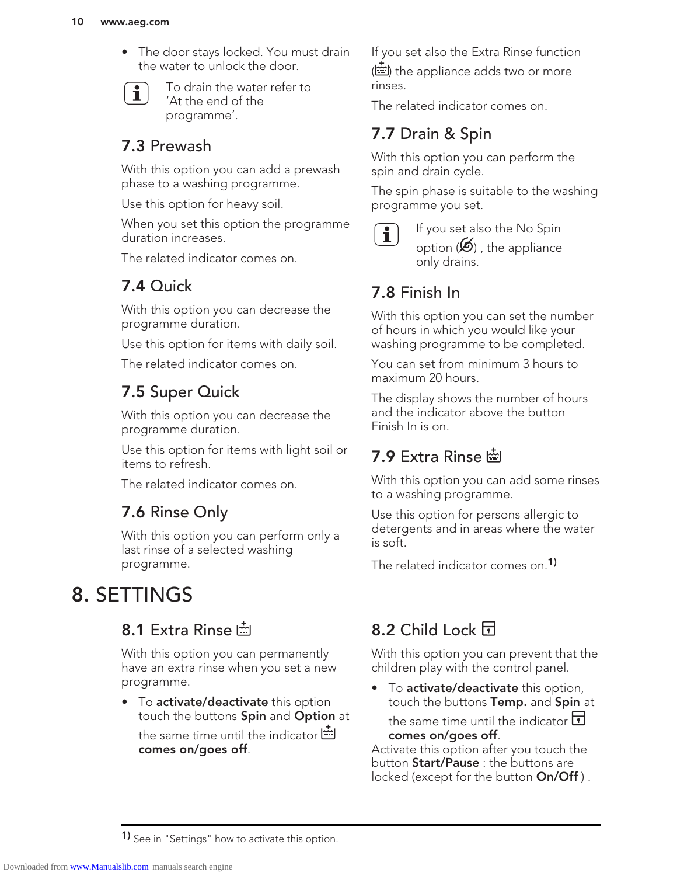#### 10 www.aeg.com

• The door stays locked. You must drain the water to unlock the door.



To drain the water refer to 'At the end of the programme'.

### 7.3 Prewash

With this option you can add a prewash phase to a washing programme.

Use this option for heavy soil.

When you set this option the programme duration increases.

The related indicator comes on.

## 7.4 Quick

With this option you can decrease the programme duration.

Use this option for items with daily soil.

The related indicator comes on.

## 7.5 Super Quick

With this option you can decrease the programme duration.

Use this option for items with light soil or items to refresh.

The related indicator comes on.

### 7.6 Rinse Only

With this option you can perform only a last rinse of a selected washing programme.

## 8. SETTINGS

### 8.1 Extra Rinse

With this option you can permanently have an extra rinse when you set a new programme.

• To activate/deactivate this option touch the buttons Spin and Option at the same time until the indicator  $\ddot{\equiv}$ comes on/goes off.

If you set also the Extra Rinse function ( ) the appliance adds two or more rinses.

The related indicator comes on.

## 7.7 Drain & Spin

With this option you can perform the spin and drain cycle.

The spin phase is suitable to the washing programme you set.



If you set also the No Spin option  $(\mathcal{B})$ , the appliance only drains.

## 7.8 Finish In

With this option you can set the number of hours in which you would like your washing programme to be completed.

You can set from minimum 3 hours to maximum 20 hours.

The display shows the number of hours and the indicator above the button Finish In is on.

## 7.9 Extra Rinse

With this option you can add some rinses to a washing programme.

Use this option for persons allergic to detergents and in areas where the water is soft.

The related indicator comes on.<sup>1)</sup>

## 8.2 Child Lock **日**

With this option you can prevent that the children play with the control panel.

• To activate/deactivate this option, touch the buttons Temp. and Spin at

the same time until the indicator  $\Box$ comes on/goes off.

Activate this option after you touch the button **Start/Pause**: the buttons are locked (except for the button **On/Off**).

**1)** See in "Settings" how to activate this option.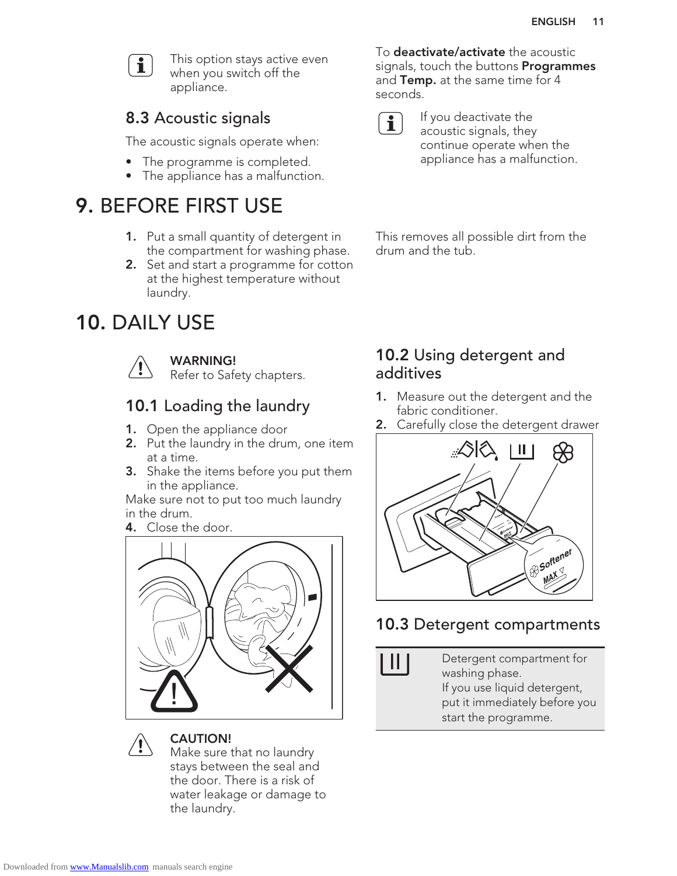

This option stays active even when you switch off the appliance.

## 8.3 Acoustic signals

The acoustic signals operate when:

- The programme is completed.
- The appliance has a malfunction.

## 9. BEFORE FIRST USE

- 1. Put a small quantity of detergent in the compartment for washing phase.
- 2. Set and start a programme for cotton at the highest temperature without laundry.

## 10. DAILY USE



#### WARNING!

Refer to Safety chapters.

## 10.1 Loading the laundry

- 1. Open the appliance door
- 2. Put the laundry in the drum, one item at a time.
- **3.** Shake the items before you put them in the appliance.

Make sure not to put too much laundry in the drum.

4. Close the door.





#### CAUTION!

Make sure that no laundry stays between the seal and the door. There is a risk of water leakage or damage to the laundry.

To **deactivate/activate** the acoustic signals, touch the buttons **Programmes** and Temp. at the same time for 4 seconds.



If you deactivate the acoustic signals, they continue operate when the appliance has a malfunction.

This removes all possible dirt from the drum and the tub.

### 10.2 Using detergent and additives

- 1. Measure out the detergent and the fabric conditioner.
- 2. Carefully close the detergent drawer



### 10.3 Detergent compartments

Detergent compartment for washing phase. If you use liquid detergent, put it immediately before you start the programme.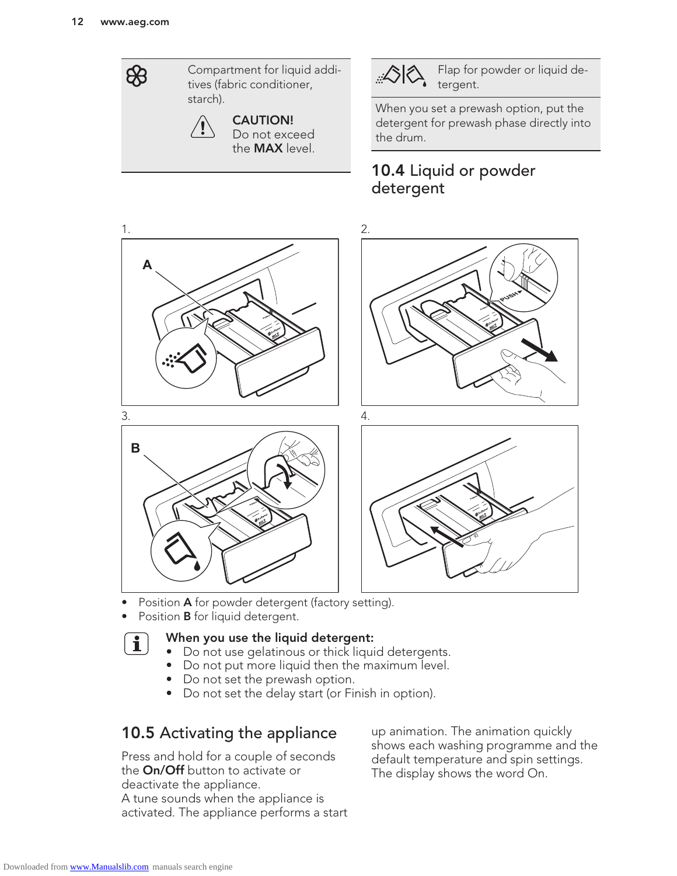\$

Compartment for liquid additives (fabric conditioner, starch).



Flap for powder or liquid detergent.

When you set a prewash option, put the detergent for prewash phase directly into the drum.

## 10.4 Liquid or powder detergent



- Position A for powder detergent (factory setting).
- Position **B** for liquid detergent.



#### When you use the liquid detergent:

- Do not use gelatinous or thick liquid detergents.
- Do not put more liquid then the maximum level.
- Do not set the prewash option.
- Do not set the delay start (or Finish in option).

## 10.5 Activating the appliance

Press and hold for a couple of seconds the On/Off button to activate or deactivate the appliance. A tune sounds when the appliance is activated. The appliance performs a start

up animation. The animation quickly shows each washing programme and the default temperature and spin settings. The display shows the word On.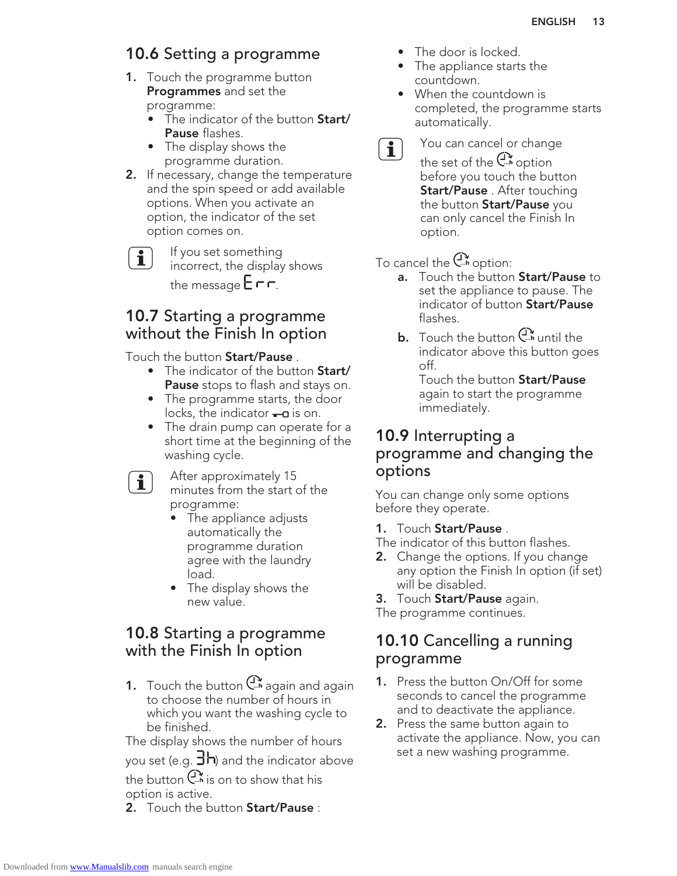## 10.6 Setting a programme

- **1.** Touch the programme button Programmes and set the programme:
	- The indicator of the button **Start/** Pause flashes.
	- The display shows the programme duration.
- 2. If necessary, change the temperature and the spin speed or add available options. When you activate an option, the indicator of the set option comes on.

 $\mathbf i$ 

If you set something incorrect, the display shows the message  $E \Gamma$ .

### 10.7 Starting a programme without the Finish In option

#### Touch the button Start/Pause .

- The indicator of the button Start/ Pause stops to flash and stays on.
- The programme starts, the door locks, the indicator  $\leftarrow$ **n** is on.
- The drain pump can operate for a short time at the beginning of the washing cycle.
- $\mathbf{i}$

After approximately 15 minutes from the start of the programme:

- The appliance adjusts automatically the programme duration agree with the laundry load.
- The display shows the new value.

### 10.8 Starting a programme with the Finish In option

1. Touch the button  $C^*$  again and again to choose the number of hours in which you want the washing cycle to be finished.

The display shows the number of hours

you set (e.g.  $\exists h$ ) and the indicator above the button  $\mathbb{C}^{\infty}$  is on to show that his

option is active.

**2.** Touch the button **Start/Pause**:

- The door is locked.
- The appliance starts the countdown.
- When the countdown is completed, the programme starts automatically.
- $\mathbf{i}$

You can cancel or change

the set of the  $\mathbb{C}^*$  option before you touch the button Start/Pause . After touching the button **Start/Pause** you can only cancel the Finish In option.

#### To cancel the  $C^*$  option:

- **a.** Touch the button **Start/Pause** to set the appliance to pause. The indicator of button Start/Pause flashes.
- **b.** Touch the button  $\bigcup_{n=1}^{\infty}$  until the indicator above this button goes off.

Touch the button **Start/Pause** again to start the programme immediately.

### 10.9 Interrupting a programme and changing the options

You can change only some options before they operate.

#### 1. Touch Start/Pause .

- The indicator of this button flashes.
- **2.** Change the options. If you change any option the Finish In option (if set) will be disabled.

3. Touch Start/Pause again.

The programme continues.

### 10.10 Cancelling a running programme

- 1. Press the button On/Off for some seconds to cancel the programme and to deactivate the appliance.
- **2.** Press the same button again to activate the appliance. Now, you can set a new washing programme.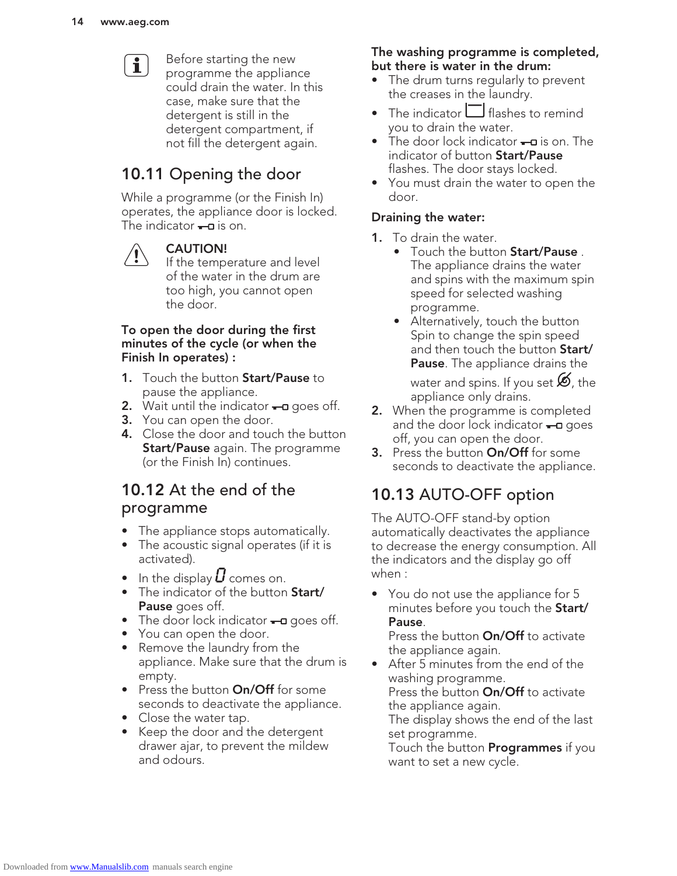

Before starting the new programme the appliance could drain the water. In this case, make sure that the detergent is still in the detergent compartment, if not fill the detergent again.

## 10.11 Opening the door

While a programme (or the Finish In) operates, the appliance door is locked. The indicator  $\leftarrow$  is on.



#### CAUTION!

If the temperature and level of the water in the drum are too high, you cannot open the door.

#### To open the door during the first minutes of the cycle (or when the Finish In operates) :

- 1. Touch the button Start/Pause to pause the appliance.
- **2.** Wait until the indicator  $\leftarrow$ **a** goes off.
- 3. You can open the door.
- **4.** Close the door and touch the button **Start/Pause** again. The programme (or the Finish In) continues.

### 10.12 At the end of the programme

- The appliance stops automatically.
- The acoustic signal operates (if it is activated).
- In the display  $U$  comes on.
- The indicator of the button Start/ Pause goes off.
- The door lock indicator  $\leftarrow$ **n** goes off.
- You can open the door.
- Remove the laundry from the appliance. Make sure that the drum is empty.
- Press the button **On/Off** for some seconds to deactivate the appliance.
- Close the water tap.
- Keep the door and the detergent drawer ajar, to prevent the mildew and odours.

#### The washing programme is completed, but there is water in the drum:

- The drum turns regularly to prevent the creases in the laundry.
- The indicator  $\Box$  flashes to remind you to drain the water.
- The door lock indicator  $\leftarrow$ **D** is on. The indicator of button Start/Pause flashes. The door stays locked.
- You must drain the water to open the door.

#### Draining the water:

- 1. To drain the water.
	- Touch the button Start/Pause. The appliance drains the water and spins with the maximum spin speed for selected washing programme.
	- Alternatively, touch the button Spin to change the spin speed and then touch the button Start/ **Pause**. The appliance drains the

water and spins. If you set  $\mathcal{D}$ , the appliance only drains.

- 2. When the programme is completed and the door lock indicator  $-\alpha$  goes off, you can open the door.
- **3.** Press the button **On/Off** for some seconds to deactivate the appliance.

## 10.13 AUTO-OFF option

The AUTO-OFF stand-by option automatically deactivates the appliance to decrease the energy consumption. All the indicators and the display go off when :

• You do not use the appliance for 5 minutes before you touch the Start/ Pause.

Press the button **On/Off** to activate the appliance again.

• After 5 minutes from the end of the washing programme. Press the button **On/Off** to activate the appliance again. The display shows the end of the last set programme.

Touch the button **Programmes** if you want to set a new cycle.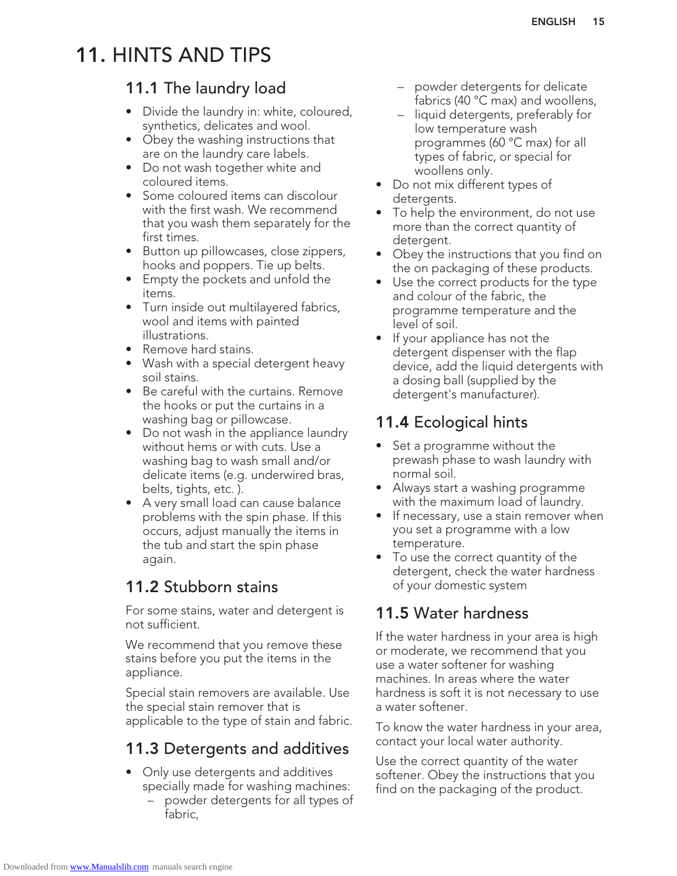## 11. HINTS AND TIPS

### 11.1 The laundry load

- Divide the laundry in: white, coloured, synthetics, delicates and wool.
- Obey the washing instructions that are on the laundry care labels.
- Do not wash together white and coloured items.
- Some coloured items can discolour with the first wash. We recommend that you wash them separately for the first times.
- Button up pillowcases, close zippers, hooks and poppers. Tie up belts.
- Empty the pockets and unfold the items.
- Turn inside out multilayered fabrics, wool and items with painted illustrations.
- Remove hard stains.
- Wash with a special detergent heavy soil stains.
- Be careful with the curtains. Remove the hooks or put the curtains in a washing bag or pillowcase.
- Do not wash in the appliance laundry without hems or with cuts. Use a washing bag to wash small and/or delicate items (e.g. underwired bras, belts, tights, etc. ).
- A very small load can cause balance problems with the spin phase. If this occurs, adjust manually the items in the tub and start the spin phase again.

### 11.2 Stubborn stains

For some stains, water and detergent is not sufficient.

We recommend that you remove these stains before you put the items in the appliance.

Special stain removers are available. Use the special stain remover that is applicable to the type of stain and fabric.

## 11.3 Detergents and additives

- Only use detergents and additives specially made for washing machines:
	- powder detergents for all types of fabric,
- powder detergents for delicate fabrics (40 °C max) and woollens,
- liquid detergents, preferably for low temperature wash programmes (60 °C max) for all types of fabric, or special for woollens only.
- Do not mix different types of detergents.
- To help the environment, do not use more than the correct quantity of detergent.
- Obey the instructions that you find on the on packaging of these products.
- Use the correct products for the type and colour of the fabric, the programme temperature and the level of soil.
- If your appliance has not the detergent dispenser with the flap device, add the liquid detergents with a dosing ball (supplied by the detergent's manufacturer).

## 11.4 Ecological hints

- Set a programme without the prewash phase to wash laundry with normal soil.
- Always start a washing programme with the maximum load of laundry.
- If necessary, use a stain remover when you set a programme with a low temperature.
- To use the correct quantity of the detergent, check the water hardness of your domestic system

## 11.5 Water hardness

If the water hardness in your area is high or moderate, we recommend that you use a water softener for washing machines. In areas where the water hardness is soft it is not necessary to use a water softener.

To know the water hardness in your area, contact your local water authority.

Use the correct quantity of the water softener. Obey the instructions that you find on the packaging of the product.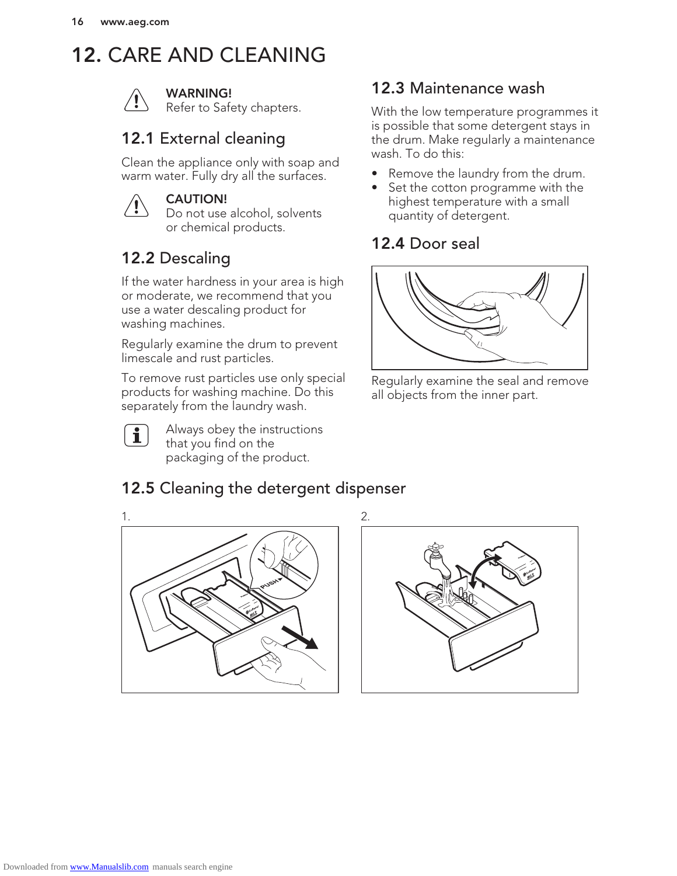## 12. CARE AND CLEANING



#### WARNING!

Refer to Safety chapters.

## 12.1 External cleaning

Clean the appliance only with soap and warm water. Fully dry all the surfaces.



#### CAUTION!

Do not use alcohol, solvents or chemical products.

## 12.2 Descaling

If the water hardness in your area is high or moderate, we recommend that you use a water descaling product for washing machines.

Regularly examine the drum to prevent limescale and rust particles.

To remove rust particles use only special products for washing machine. Do this separately from the laundry wash.



Always obey the instructions that you find on the packaging of the product.

## 12.3 Maintenance wash

With the low temperature programmes it is possible that some detergent stays in the drum. Make regularly a maintenance wash. To do this:

- Remove the laundry from the drum.
- Set the cotton programme with the highest temperature with a small quantity of detergent.

### 12.4 Door seal



Regularly examine the seal and remove all objects from the inner part.

## 12.5 Cleaning the detergent dispenser

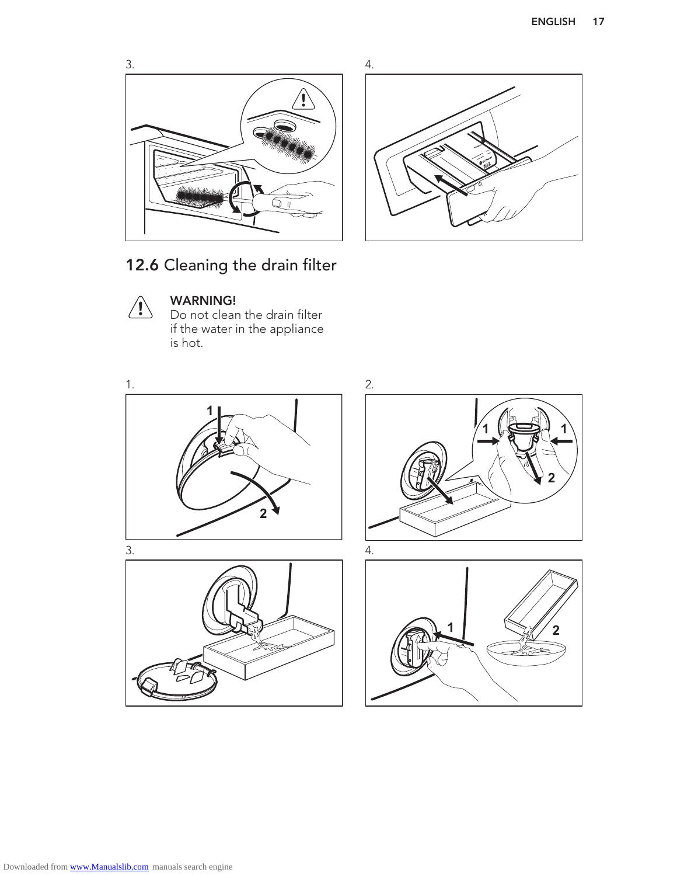



12.6 Cleaning the drain filter



#### WARNING!

Do not clean the drain filter if the water in the appliance is hot.

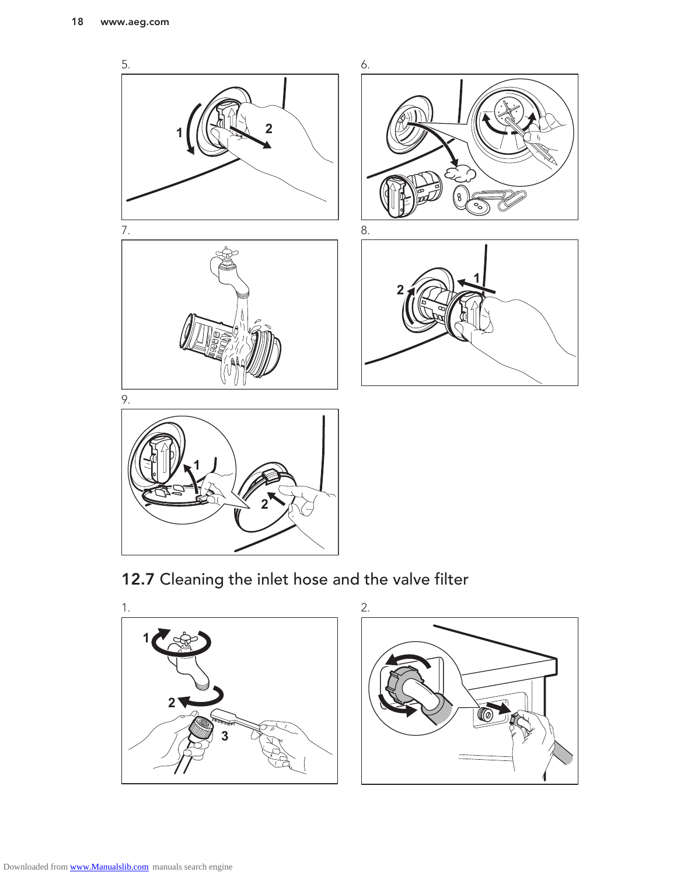

12.7 Cleaning the inlet hose and the valve filter

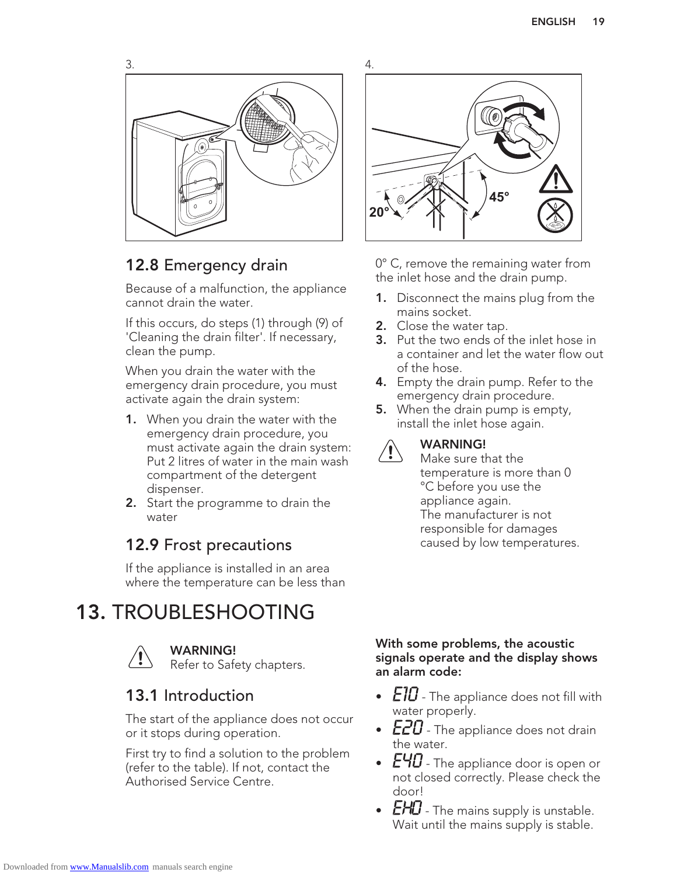

### 12.8 Emergency drain

Because of a malfunction, the appliance cannot drain the water.

If this occurs, do steps (1) through (9) of 'Cleaning the drain filter'. If necessary, clean the pump.

When you drain the water with the emergency drain procedure, you must activate again the drain system:

- 1. When you drain the water with the emergency drain procedure, you must activate again the drain system: Put 2 litres of water in the main wash compartment of the detergent dispenser.
- **2.** Start the programme to drain the water

## 12.9 Frost precautions

If the appliance is installed in an area where the temperature can be less than

## 13. TROUBLESHOOTING



WARNING! Refer to Safety chapters.

### 13.1 Introduction

The start of the appliance does not occur or it stops during operation.

First try to find a solution to the problem (refer to the table). If not, contact the Authorised Service Centre.



0° C, remove the remaining water from the inlet hose and the drain pump.

- 1. Disconnect the mains plug from the mains socket.
- 2. Close the water tap.
- 3. Put the two ends of the inlet hose in a container and let the water flow out of the hose.
- 4. Empty the drain pump. Refer to the emergency drain procedure.
- **5.** When the drain pump is empty, install the inlet hose again.



#### WARNING!

Make sure that the temperature is more than 0 °C before you use the appliance again. The manufacturer is not responsible for damages caused by low temperatures.

#### With some problems, the acoustic signals operate and the display shows an alarm code:

- $E$ 10 The appliance does not fill with water properly.
- $E20$  The appliance does not drain the water.
- $E$ 40 The appliance door is open or not closed correctly. Please check the door!
- $E H\!I$  The mains supply is unstable. Wait until the mains supply is stable.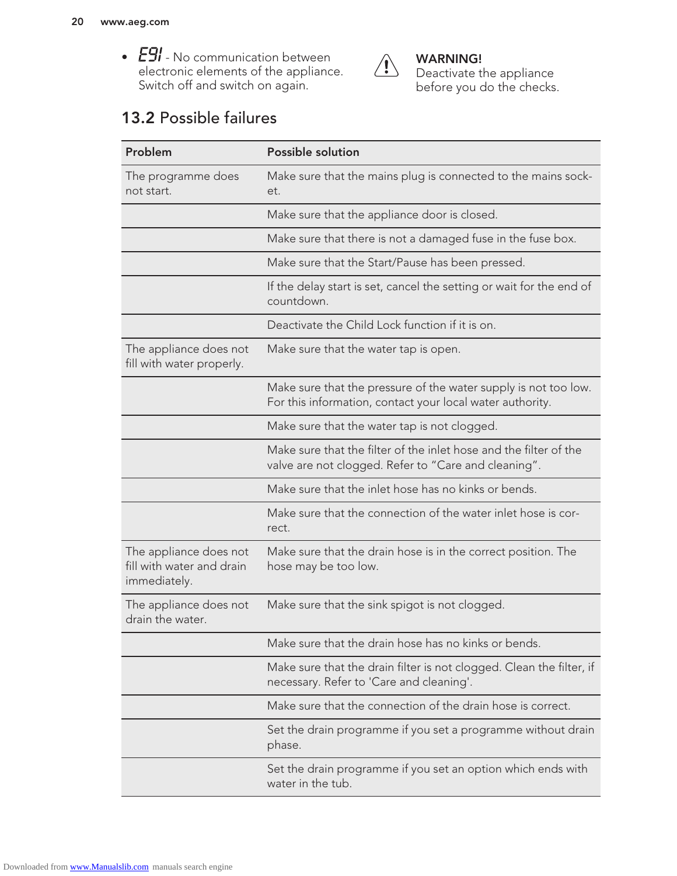•  $\overleftrightarrow{L}$ *i* - No communication between electronic elements of the appliance. Switch off and switch on again.



WARNING! Deactivate the appliance before you do the checks.

## 13.2 Possible failures

| Problem                                                             | <b>Possible solution</b>                                                                                                     |
|---------------------------------------------------------------------|------------------------------------------------------------------------------------------------------------------------------|
| The programme does<br>not start.                                    | Make sure that the mains plug is connected to the mains sock-<br>et.                                                         |
|                                                                     | Make sure that the appliance door is closed.                                                                                 |
|                                                                     | Make sure that there is not a damaged fuse in the fuse box.                                                                  |
|                                                                     | Make sure that the Start/Pause has been pressed.                                                                             |
|                                                                     | If the delay start is set, cancel the setting or wait for the end of<br>countdown.                                           |
|                                                                     | Deactivate the Child Lock function if it is on.                                                                              |
| The appliance does not<br>fill with water properly.                 | Make sure that the water tap is open.                                                                                        |
|                                                                     | Make sure that the pressure of the water supply is not too low.<br>For this information, contact your local water authority. |
|                                                                     | Make sure that the water tap is not clogged.                                                                                 |
|                                                                     | Make sure that the filter of the inlet hose and the filter of the<br>valve are not clogged. Refer to "Care and cleaning".    |
|                                                                     | Make sure that the inlet hose has no kinks or bends.                                                                         |
|                                                                     | Make sure that the connection of the water inlet hose is cor-<br>rect.                                                       |
| The appliance does not<br>fill with water and drain<br>immediately. | Make sure that the drain hose is in the correct position. The<br>hose may be too low.                                        |
| The appliance does not<br>drain the water.                          | Make sure that the sink spigot is not clogged.                                                                               |
|                                                                     | Make sure that the drain hose has no kinks or bends.                                                                         |
|                                                                     | Make sure that the drain filter is not clogged. Clean the filter, if<br>necessary. Refer to 'Care and cleaning'.             |
|                                                                     | Make sure that the connection of the drain hose is correct.                                                                  |
|                                                                     | Set the drain programme if you set a programme without drain<br>phase.                                                       |
|                                                                     | Set the drain programme if you set an option which ends with<br>water in the tub.                                            |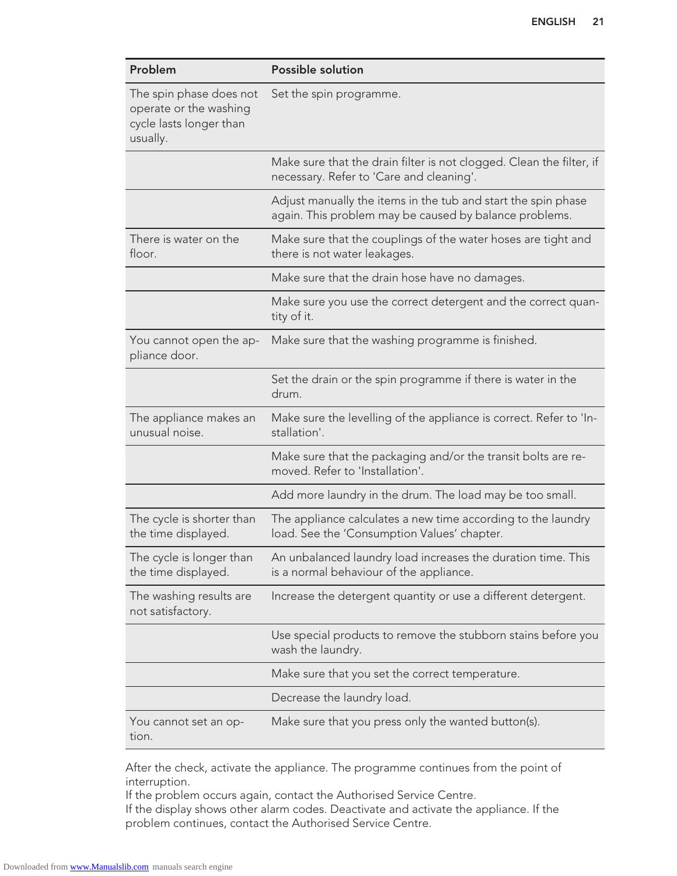| Problem                                                                                  | <b>Possible solution</b>                                                                                                |
|------------------------------------------------------------------------------------------|-------------------------------------------------------------------------------------------------------------------------|
| The spin phase does not<br>operate or the washing<br>cycle lasts longer than<br>usually. | Set the spin programme.                                                                                                 |
|                                                                                          | Make sure that the drain filter is not clogged. Clean the filter, if<br>necessary. Refer to 'Care and cleaning'.        |
|                                                                                          | Adjust manually the items in the tub and start the spin phase<br>again. This problem may be caused by balance problems. |
| There is water on the<br>floor.                                                          | Make sure that the couplings of the water hoses are tight and<br>there is not water leakages.                           |
|                                                                                          | Make sure that the drain hose have no damages.                                                                          |
|                                                                                          | Make sure you use the correct detergent and the correct quan-<br>tity of it.                                            |
| You cannot open the ap-<br>pliance door.                                                 | Make sure that the washing programme is finished.                                                                       |
|                                                                                          | Set the drain or the spin programme if there is water in the<br>drum.                                                   |
| The appliance makes an<br>unusual noise.                                                 | Make sure the levelling of the appliance is correct. Refer to 'In-<br>stallation'.                                      |
|                                                                                          | Make sure that the packaging and/or the transit bolts are re-<br>moved. Refer to 'Installation'.                        |
|                                                                                          | Add more laundry in the drum. The load may be too small.                                                                |
| The cycle is shorter than<br>the time displayed.                                         | The appliance calculates a new time according to the laundry<br>load. See the 'Consumption Values' chapter.             |
| The cycle is longer than<br>the time displayed.                                          | An unbalanced laundry load increases the duration time. This<br>is a normal behaviour of the appliance.                 |
| The washing results are<br>not satisfactory.                                             | Increase the detergent quantity or use a different detergent.                                                           |
|                                                                                          | Use special products to remove the stubborn stains before you<br>wash the laundry.                                      |
|                                                                                          | Make sure that you set the correct temperature.                                                                         |
|                                                                                          | Decrease the laundry load.                                                                                              |
| You cannot set an op-<br>tion.                                                           | Make sure that you press only the wanted button(s).                                                                     |

After the check, activate the appliance. The programme continues from the point of interruption.

If the problem occurs again, contact the Authorised Service Centre.

If the display shows other alarm codes. Deactivate and activate the appliance. If the problem continues, contact the Authorised Service Centre.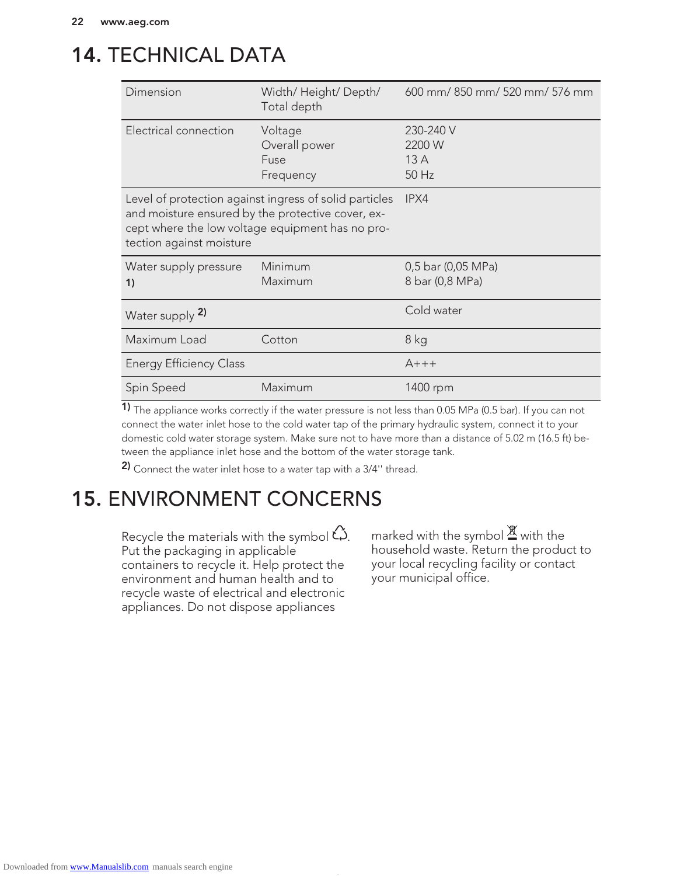## 14. TECHNICAL DATA

| Dimension                                                                     | Width/Height/Depth/<br>Total depth                                                                         | 600 mm/850 mm/520 mm/576 mm           |  |
|-------------------------------------------------------------------------------|------------------------------------------------------------------------------------------------------------|---------------------------------------|--|
| Electrical connection                                                         | Voltage<br>Overall power<br>Fuse<br>Frequency                                                              | 230-240 V<br>2200 W<br>13A<br>50 Hz   |  |
| and moisture ensured by the protective cover, ex-<br>tection against moisture | Level of protection against ingress of solid particles<br>cept where the low voltage equipment has no pro- | IPX4                                  |  |
| Water supply pressure<br>1)                                                   | Minimum<br>Maximum                                                                                         | 0,5 bar (0,05 MPa)<br>8 bar (0,8 MPa) |  |
| Water supply 2)                                                               |                                                                                                            | Cold water                            |  |
| Maximum Load                                                                  | Cotton                                                                                                     | 8 kg                                  |  |
| <b>Energy Efficiency Class</b>                                                |                                                                                                            | $A+++$                                |  |
| Spin Speed                                                                    | Maximum                                                                                                    | 1400 rpm                              |  |

1) The appliance works correctly if the water pressure is not less than 0.05 MPa (0.5 bar). If you can not connect the water inlet hose to the cold water tap of the primary hydraulic system, connect it to your domestic cold water storage system. Make sure not to have more than a distance of 5.02 m (16.5 ft) between the appliance inlet hose and the bottom of the water storage tank.

2) Connect the water inlet hose to a water tap with a 3/4" thread.

## 15. ENVIRONMENT CONCERNS

Recycle the materials with the symbol  $\hat{\omega}$ . Put the packaging in applicable containers to recycle it. Help protect the environment and human health and to recycle waste of electrical and electronic appliances. Do not dispose appliances

marked with the symbol  $\mathbb{X}$  with the household waste. Return the product to your local recycling facility or contact your municipal office.